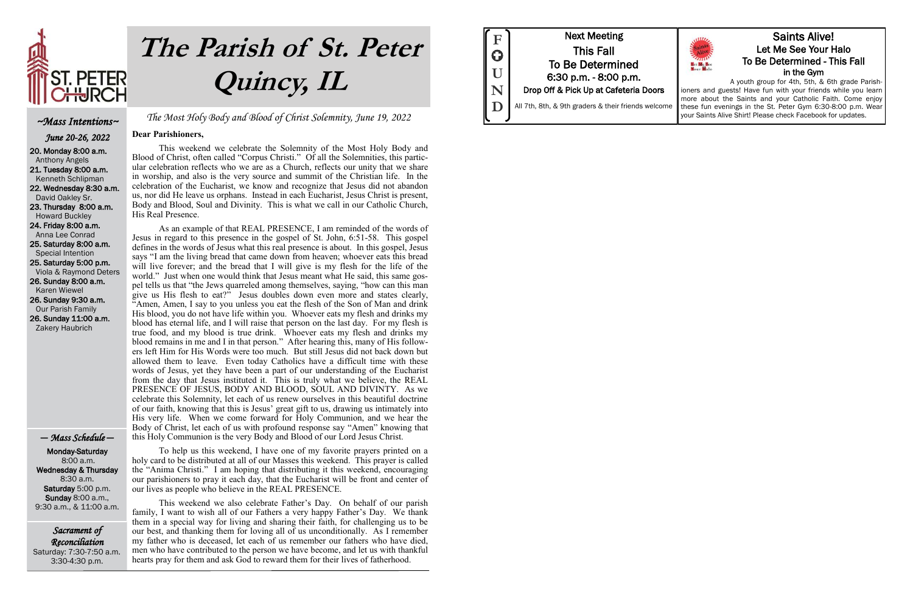Sacrament of Reconciliation Saturday: 7:30-7:50 a.m. 3:30-4:30 p.m.

The Most Holy Body and Blood of Christ Solemnity, June 19, 2022

#### **Dear Parishioners,**

This weekend we celebrate the Solemnity of the Most Holy Body and Blood of Christ, often called "Corpus Christi." Of all the Solemnities, this particular celebration reflects who we are as a Church, reflects our unity that we share in worship, and also is the very source and summit of the Christian life. In the celebration of the Eucharist, we know and recognize that Jesus did not abandon us, nor did He leave us orphans. Instead in each Eucharist, Jesus Christ is present, Body and Blood, Soul and Divinity. This is what we call in our Catholic Church, His Real Presence.

As an example of that REAL PRESENCE, I am reminded of the words of Jesus in regard to this presence in the gospel of St. John, 6:51-58. This gospel defines in the words of Jesus what this real presence is about. In this gospel, Jesus says "I am the living bread that came down from heaven; whoever eats this bread will live forever; and the bread that I will give is my flesh for the life of the world." Just when one would think that Jesus meant what He said, this same gospel tells us that "the Jews quarreled among themselves, saying, "how can this man give us His flesh to eat?" Jesus doubles down even more and states clearly, "Amen, Amen, I say to you unless you eat the flesh of the Son of Man and drink His blood, you do not have life within you. Whoever eats my flesh and drinks my blood has eternal life, and I will raise that person on the last day. For my flesh is true food, and my blood is true drink. Whoever eats my flesh and drinks my blood remains in me and I in that person." After hearing this, many of His followers left Him for His Words were too much. But still Jesus did not back down but allowed them to leave. Even today Catholics have a difficult time with these words of Jesus, yet they have been a part of our understanding of the Eucharist from the day that Jesus instituted it. This is truly what we believe, the REAL PRESENCE OF JESUS, BODY AND BLOOD, SOUL AND DIVINTY. As we celebrate this Solemnity, let each of us renew ourselves in this beautiful doctrine of our faith, knowing that this is Jesus' great gift to us, drawing us intimately into His very life. When we come forward for Holy Communion, and we hear the Body of Christ, let each of us with profound response say "Amen" knowing that this Holy Communion is the very Body and Blood of our Lord Jesus Christ.

To help us this weekend, I have one of my favorite prayers printed on a holy card to be distributed at all of our Masses this weekend. This prayer is called the "Anima Christi." I am hoping that distributing it this weekend, encouraging our parishioners to pray it each day, that the Eucharist will be front and center of our lives as people who believe in the REAL PRESENCE.

This weekend we also celebrate Father's Day. On behalf of our parish family, I want to wish all of our Fathers a very happy Father's Day. We thank them in a special way for living and sharing their faith, for challenging us to be our best, and thanking them for loving all of us unconditionally. As I remember my father who is deceased, let each of us remember our fathers who have died, men who have contributed to the person we have become, and let us with thankful hearts pray for them and ask God to reward them for their lives of fatherhood.

Next Meeting This Fall To Be Determined 6:30 p.m. - 8:00 p.m. Drop Off & Pick Up at Cafeteria Doors All 7th, 8th, & 9th graders & their friends welcome **F U N D** 





~Mass Intentions~ June 20-26, 2022 20. Monday 8:00 a.m. Anthony Angels 21. Tuesday 8:00 a.m. Kenneth Schlipman 22. Wednesday 8:30 a.m. David Oakley Sr. 23. Thursday 8:00 a.m. Howard Buckley 24. Friday 8:00 a.m. Anna Lee Conrad 25. Saturday 8:00 a.m. Special Intention 25. Saturday 5:00 p.m. Viola & Raymond Deters 26. Sunday 8:00 a.m. Karen Wiewel 26. Sunday 9:30 a.m.

 Our Parish Family 26. Sunday 11:00 a.m. Zakery Haubrich

#### — Mass Schedule —

 Monday-Saturday 8:00 a.m. Wednesday & Thursday 8:30 a.m. Saturday 5:00 p.m. Sunday 8:00 a.m., 9:30 a.m., & 11:00 a.m.

# **The Parish of St. Peter Quincy, IL**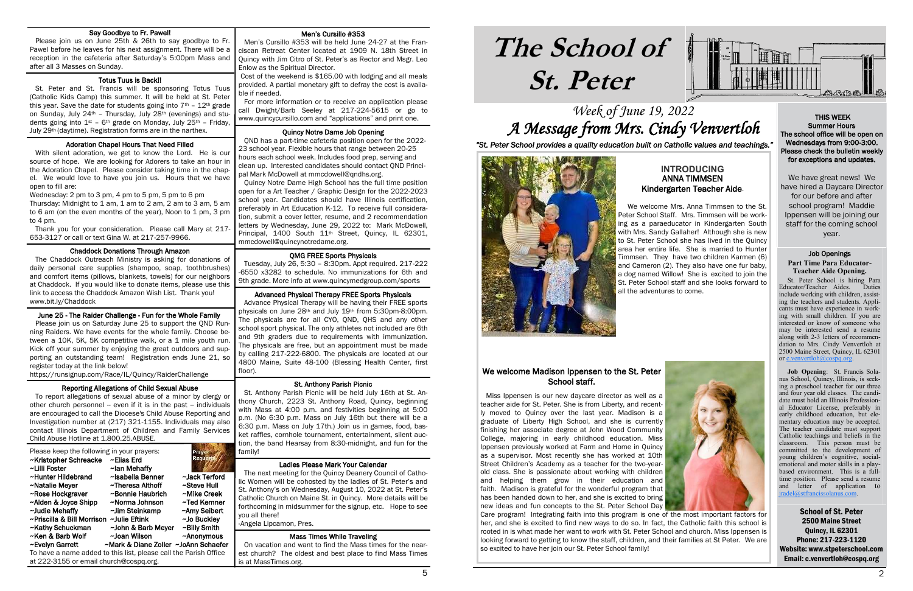### Week of June 19, 2022 A Message from Mrs. Cindy Venvertloh

## **The School of St. Peter**

School of St. Peter 2500 Maine Street Quincy, IL 62301 Phone: 217-223-1120 Website: www.stpeterschool.com Email: c.venvertloh@cospq.org





*"St. Peter School provides a quality education built on Catholic values and teachings."*



#### Men's Cursillo #353

 Men's Cursillo #353 will be held June 24-27 at the Franciscan Retreat Center located at 1909 N. 18th Street in Quincy with Jim Citro of St. Peter's as Rector and Msgr. Leo Enlow as the Spiritual Director.

 Cost of the weekend is \$165.00 with lodging and all meals provided. A partial monetary gift to defray the cost is available if needed.

 For more information or to receive an application please call Dwight/Barb Seeley at 217-224-5615 or go to www.quincycursillo.com and "applications" and print one.

 Tuesday, July 26, 5:30 – 8:30pm. Appt required. 217-222 -6550 x3282 to schedule. No immunizations for 6th and 9th grade. More info at www.quincymedgroup.com/sports ١

#### Quincy Notre Dame Job Opening

 QND has a part-time cafeteria position open for the 2022- 23 school year. Flexible hours that range between 20-25 hours each school week. Includes food prep, serving and clean up. Interested candidates should contact QND Principal Mark McDowell at mmcdowell@qndhs.org.

#### i St. Anthony Parish Picnic

 Quincy Notre Dame High School has the full time position open for a Art Teacher / Graphic Design for the 2022-2023 school year. Candidates should have Illinois certification, preferably in Art Education K-12. To receive full consideration, submit a cover letter, resume, and 2 recommendation letters by Wednesday, June 29, 2022 to: Mark McDowell, Principal, 1400 South 11<sup>th</sup> Street, Quincy, IL 62301, mmcdowell@quincynotredame.org.

#### QMG FREE Sports Physicals

#### i Totus Tuus is Back!!

#### Advanced Physical Therapy FREE Sports Physicals

#### í Adoration Chapel Hours That Need Filled

 Advance Physical Therapy will be having their FREE sports physicals on June 28th and July 19th from 5:30pm-8:00pm. The physicals are for all CYO, QND, QHS and any other school sport physical. The only athletes not included are 6th and 9th graders due to requirements with immunization. The physicals are free, but an appointment must be made by calling 217-222-6800. The physicals are located at our 4800 Maine, Suite 48-100 (Blessing Health Center, first floor).

 St. Anthony Parish Picnic will be held July 16th at St. Anthony Church, 2223 St. Anthony Road, Quincy, beginning with Mass at 4:00 p.m. and festivities beginning at 5:00 p.m. (No 6:30 p.m. Mass on July 16th but there will be a 6:30 p.m. Mass on July 17th.) Join us in games, food, basket raffles, cornhole tournament, entertainment, silent auction, the band Hearsay from 8:30-midnight, and fun for the family!

#### Ladies Please Mark Your Calendar

 The next meeting for the Quincy Deanery Council of Catholic Women will be cohosted by the ladies of St. Peter's and St. Anthony's on Wednesday, August 10, 2022 at St. Peter's Catholic Church on Maine St. in Quincy. More details will be forthcoming in midsummer for the signup, etc. Hope to see you all there!

-Angela Lipcamon, Pres.

#### Mass Times While Traveling

 On vacation and want to find the Mass times for the nearest church? The oldest and best place to find Mass Times is at MassTimes.org.

#### Say Goodbye to Fr. Pawel!

 Please join us on June 25th & 26th to say goodbye to Fr. Pawel before he leaves for his next assignment. There will be a reception in the cafeteria after Saturday's 5:00pm Mass and after all 3 Masses on Sunday.

#### We welcome Madison Ippensen to the St. Peter School staff.

 St. Peter and St. Francis will be sponsoring Totus Tuus (Catholic Kids Camp) this summer. It will be held at St. Peter this year. Save the date for students going into  $7<sup>th</sup>$  -  $12<sup>th</sup>$  grade on Sunday, July 24th – Thursday, July 28th (evenings) and students going into  $1^{st}$  – 6<sup>th</sup> grade on Monday, July 25<sup>th</sup> – Friday, July 29th (daytime). Registration forms are in the narthex.

 With silent adoration, we get to know the Lord. He is our source of hope. We are looking for Adorers to take an hour in the Adoration Chapel. Please consider taking time in the chapel. We would love to have you join us. Hours that we have open to fill are:

Wednesday: 2 pm to 3 pm, 4 pm to 5 pm, 5 pm to 6 pm Thursday: Midnight to 1 am, 1 am to 2 am, 2 am to 3 am, 5 am to 6 am (on the even months of the year), Noon to 1 pm, 3 pm to 4 pm.

 Thank you for your consideration. Please call Mary at 217- 653-3127 or call or text Gina W. at 217-257-9966.

#### Chaddock Donations Through Amazon

 The Chaddock Outreach Ministry is asking for donations of daily personal care supplies (shampoo, soap, toothbrushes) and comfort items (pillows, blankets, towels) for our neighbors at Chaddock. If you would like to donate items, please use this link to access the Chaddock Amazon Wish List. Thank you! www.bit.ly/Chaddock

#### June 25 - The Raider Challenge - Fun for the Whole Family

 Please join us on Saturday June 25 to support the QND Running Raiders. We have events for the whole family. Choose between a 10K, 5K, 5K competitive walk, or a 1 mile youth run. Kick off your summer by enjoying the great outdoors and supporting an outstanding team! Registration ends June 21, so register today at the link below!

https://runsignup.com/Race/IL/Quincy/RaiderChallenge

#### Reporting Allegations of Child Sexual Abuse

 To report allegations of sexual abuse of a minor by clergy or other church personnel -- even if it is in the past -- individuals are encouraged to call the Diocese's Child Abuse Reporting and Investigation number at (217) 321-1155. Individuals may also contact Illinois Department of Children and Family Services Child Abuse Hotline at 1.800.25.ABUSE.

| Please keep the following in your prayers:<br>~Kristopher Schreacke<br>~Lilli Foster | ~Elias Erd<br>~lan Mehaffy           | Pray<br>Request |  |
|--------------------------------------------------------------------------------------|--------------------------------------|-----------------|--|
| ~Hunter Hildebrand                                                                   | ~Isabella Benner                     | ~Jack Terford   |  |
| ~Natalie Meyer                                                                       | ~Theresa Althoff                     | ~Steve Hull     |  |
| ~Rose Hockgraver                                                                     | ~Bonnie Haubrich                     | ~Mike Creek     |  |
| ~Alden & Joyce Shipp                                                                 | ~Norma Johnson                       | ~Ted Kemner     |  |
| ~Judie Mehaffy                                                                       | ~Jim Steinkamp                       | ~Amy Seibert    |  |
| ~Priscilla & Bill Morrison                                                           | ~Julie Eftink                        | ~Jo Buckley     |  |
| ~Kathy Schuckman                                                                     | ~John & Barb Meyer                   | ~Billy Smith    |  |
| ~Ken & Barb Wolf                                                                     | ~Joan Wilson                         | ~Anonymous      |  |
| ~Evelyn Garrett                                                                      | ~Mark & Diane Zoller ~JoAnn Schaefer |                 |  |
| To have a name added to this list, please call the Parish Office                     |                                      |                 |  |
| at 222-3155 or email church@cospq.org.                                               |                                      |                 |  |

#### **INTRODUCING**  ANNA TIMMSEN Kindergarten Teacher Aide.

 We welcome Mrs. Anna Timmsen to the St. Peter School Staff. Mrs. Timmsen will be working as a paraeducator in Kindergarten South with Mrs. Sandy Gallaher! Although she is new to St. Peter School she has lived in the Quincy area her entire life. She is married to Hunter Timmsen. They have two children Karmen (6) and Cameron (2). They also have one fur baby, a dog named Willow! She is excited to join the St. Peter School staff and she looks forward to all the adventures to come.

 Miss Ippensen is our new daycare director as well as a teacher aide for St. Peter. She is from Liberty, and recently moved to Quincy over the last year. Madison is a graduate of Liberty High School, and she is currently finishing her associate degree at John Wood Community College, majoring in early childhood education. Miss Ippensen previously worked at Farm and Home in Quincy as a supervisor. Most recently she has worked at 10th Street Children's Academy as a teacher for the two-yearold class. She is passionate about working with children and helping them grow in their education and faith. Madison is grateful for the wonderful program that has been handed down to her, and she is excited to bring new ideas and fun concepts to the St. Peter School Day Care program! Integrating faith into this program is one of the most important factors for her, and she is excited to find new ways to do so. In fact, the Catholic faith this school is rooted in is what made her want to work with St. Peter School and church. Miss Ippensen is looking forward to getting to know the staff, children, and their families at St Peter. We are so excited to have her join our St. Peter School family!

 THIS WEEK Summer Hours The school office will be open on Wednesdays from 9:00-3:00. Please check the bulletin weekly for exceptions and updates.

We have great news! We have hired a Daycare Director for our before and after school program! Maddie Ippensen will be joining our staff for the coming school year.

#### Job Openings

#### **Part Time Para Educator-Teacher Aide Opening.**

 St. Peter School is hiring Para Educator/Teacher Aides. Duties include working with children, assisting the teachers and students. Applicants must have experience in working with small children. If you are interested or know of someone who may be interested send a resume along with 2-3 letters of recommendation to Mrs. Cindy Venvertloh at 2500 Maine Street, Quincy, IL 62301 or [c.venvertloh@cospq.org.](mailto:c.venvertloh@cospq.org)

 **Job Opening**: St. Francis Solanus School, Quincy, Illinois, is seeking a preschool teacher for our three and four year old classes. The candidate must hold an Illinois Professional Educator License, preferably in early childhood education, but elementary education may be accepted. The teacher candidate must support Catholic teachings and beliefs in the classroom. This person must be committed to the development of young children's cognitive, socialemotional and motor skills in a playbased environment. This is a fulltime position. Please send a resume and letter of application to [jradel@stfrancissolanus.com.](mailto:jradel@stfrancissolanus.com)